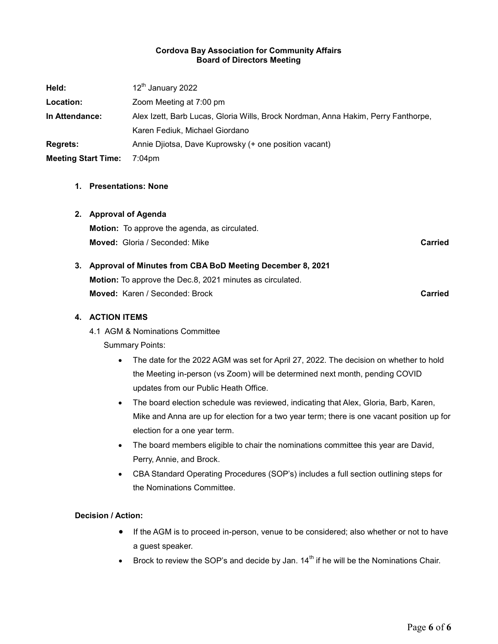### Cordova Bay Association for Community Affairs Board of Directors Meeting

| Held:                      | 12 <sup>th</sup> January 2022                                                     |
|----------------------------|-----------------------------------------------------------------------------------|
| Location:                  | Zoom Meeting at 7:00 pm                                                           |
| In Attendance:             | Alex Izett, Barb Lucas, Gloria Wills, Brock Nordman, Anna Hakim, Perry Fanthorpe, |
|                            | Karen Fediuk, Michael Giordano                                                    |
| <b>Regrets:</b>            | Annie Dijotsa, Dave Kuprowsky (+ one position vacant)                             |
| <b>Meeting Start Time:</b> | $7:04 \text{pm}$                                                                  |

### 1. Presentations: None

### 2. Approval of Agenda

Motion: To approve the agenda, as circulated. **Moved:** Gloria / Seconded: Mike Carried Carried Carried Carried

# 3. Approval of Minutes from CBA BoD Meeting December 8, 2021

Motion: To approve the Dec.8, 2021 minutes as circulated. **Moved:** Karen / Seconded: Brock Carried Carried Carried Carried

### 4. ACTION ITEMS

4.1 AGM & Nominations Committee

Summary Points:

- The date for the 2022 AGM was set for April 27, 2022. The decision on whether to hold the Meeting in-person (vs Zoom) will be determined next month, pending COVID updates from our Public Heath Office.
- The board election schedule was reviewed, indicating that Alex, Gloria, Barb, Karen, Mike and Anna are up for election for a two year term; there is one vacant position up for election for a one year term.
- The board members eligible to chair the nominations committee this year are David, Perry, Annie, and Brock.
- CBA Standard Operating Procedures (SOP's) includes a full section outlining steps for the Nominations Committee.

### Decision / Action:

- If the AGM is to proceed in-person, venue to be considered; also whether or not to have a guest speaker.
- Brock to review the SOP's and decide by Jan.  $14<sup>th</sup>$  if he will be the Nominations Chair.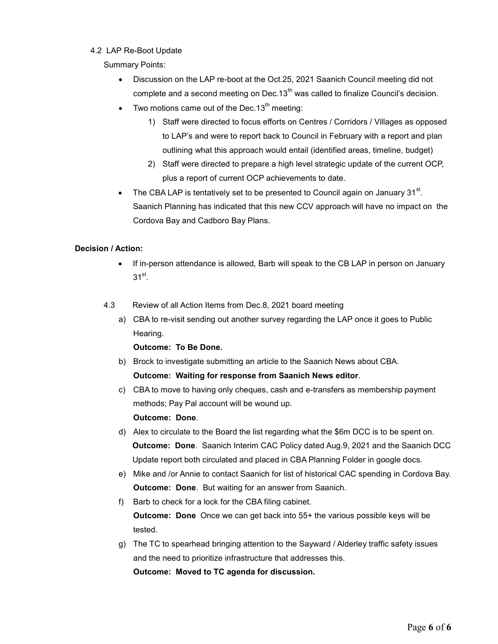### 4.2 LAP Re-Boot Update

Summary Points:

- Discussion on the LAP re-boot at the Oct.25, 2021 Saanich Council meeting did not complete and a second meeting on Dec.13<sup>th</sup> was called to finalize Council's decision.
- Two motions came out of the Dec.  $13<sup>th</sup>$  meeting:
	- 1) Staff were directed to focus efforts on Centres / Corridors / Villages as opposed to LAP's and were to report back to Council in February with a report and plan outlining what this approach would entail (identified areas, timeline, budget)
	- 2) Staff were directed to prepare a high level strategic update of the current OCP, plus a report of current OCP achievements to date.
- The CBA LAP is tentatively set to be presented to Council again on January 31 $^{\rm st}$ . Saanich Planning has indicated that this new CCV approach will have no impact on the Cordova Bay and Cadboro Bay Plans.

# Decision / Action:

- If in-person attendance is allowed, Barb will speak to the CB LAP in person on January  $31^{\rm st}$ .
- 4.3 Review of all Action Items from Dec.8, 2021 board meeting
	- a) CBA to re-visit sending out another survey regarding the LAP once it goes to Public Hearing.

Outcome: To Be Done.

- b) Brock to investigate submitting an article to the Saanich News about CBA. Outcome: Waiting for response from Saanich News editor.
- c) CBA to move to having only cheques, cash and e-transfers as membership payment methods; Pay Pal account will be wound up.

Outcome: Done.

- d) Alex to circulate to the Board the list regarding what the \$6m DCC is to be spent on. Outcome: Done. Saanich Interim CAC Policy dated Aug.9, 2021 and the Saanich DCC Update report both circulated and placed in CBA Planning Folder in google docs.
- e) Mike and /or Annie to contact Saanich for list of historical CAC spending in Cordova Bay. Outcome: Done. But waiting for an answer from Saanich.
- f) Barb to check for a lock for the CBA filing cabinet. Outcome: Done Once we can get back into 55+ the various possible keys will be tested.
- g) The TC to spearhead bringing attention to the Sayward / Alderley traffic safety issues and the need to prioritize infrastructure that addresses this.

Outcome: Moved to TC agenda for discussion.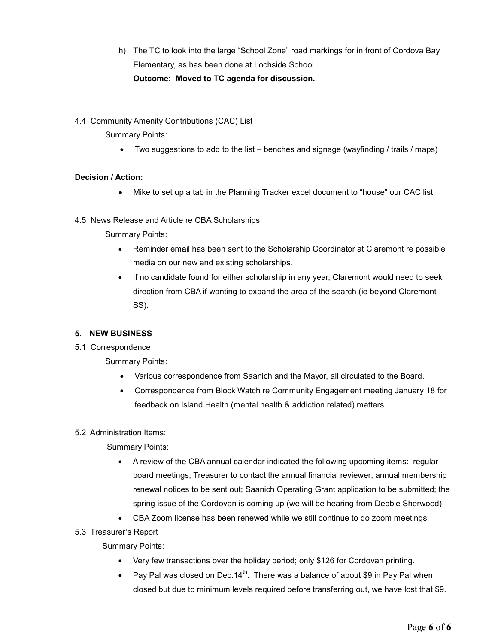- h) The TC to look into the large "School Zone" road markings for in front of Cordova Bay Elementary, as has been done at Lochside School. Outcome: Moved to TC agenda for discussion.
- 4.4 Community Amenity Contributions (CAC) List

Summary Points:

Two suggestions to add to the list – benches and signage (wayfinding / trails / maps)

# Decision / Action:

- Mike to set up a tab in the Planning Tracker excel document to "house" our CAC list.
- 4.5 News Release and Article re CBA Scholarships

Summary Points:

- Reminder email has been sent to the Scholarship Coordinator at Claremont re possible media on our new and existing scholarships.
- If no candidate found for either scholarship in any year, Claremont would need to seek direction from CBA if wanting to expand the area of the search (ie beyond Claremont SS).

# 5. NEW BUSINESS

5.1 Correspondence

Summary Points:

- Various correspondence from Saanich and the Mayor, all circulated to the Board.
- Correspondence from Block Watch re Community Engagement meeting January 18 for feedback on Island Health (mental health & addiction related) matters.

# 5.2 Administration Items:

Summary Points:

- A review of the CBA annual calendar indicated the following upcoming items: regular board meetings; Treasurer to contact the annual financial reviewer; annual membership renewal notices to be sent out; Saanich Operating Grant application to be submitted; the spring issue of the Cordovan is coming up (we will be hearing from Debbie Sherwood).
- CBA Zoom license has been renewed while we still continue to do zoom meetings.
- 5.3 Treasurer's Report

Summary Points:

- Very few transactions over the holiday period; only \$126 for Cordovan printing.
- Pay Pal was closed on Dec.14<sup>th</sup>. There was a balance of about \$9 in Pay Pal when closed but due to minimum levels required before transferring out, we have lost that \$9.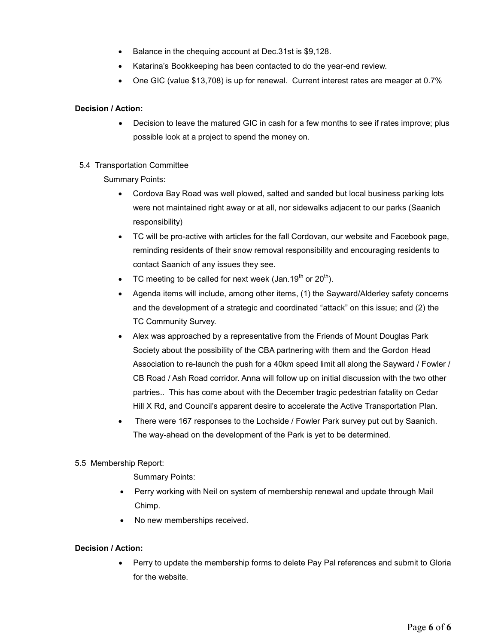- Balance in the chequing account at Dec.31st is \$9,128.
- Katarina's Bookkeeping has been contacted to do the year-end review.
- One GIC (value \$13,708) is up for renewal. Current interest rates are meager at 0.7%

# Decision / Action:

• Decision to leave the matured GIC in cash for a few months to see if rates improve; plus possible look at a project to spend the money on.

# 5.4 Transportation Committee

Summary Points:

- Cordova Bay Road was well plowed, salted and sanded but local business parking lots were not maintained right away or at all, nor sidewalks adjacent to our parks (Saanich responsibility)
- TC will be pro-active with articles for the fall Cordovan, our website and Facebook page, reminding residents of their snow removal responsibility and encouraging residents to contact Saanich of any issues they see.
- TC meeting to be called for next week (Jan.19<sup>th</sup> or 20<sup>th</sup>).
- Agenda items will include, among other items, (1) the Sayward/Alderley safety concerns and the development of a strategic and coordinated "attack" on this issue; and (2) the TC Community Survey.
- Alex was approached by a representative from the Friends of Mount Douglas Park Society about the possibility of the CBA partnering with them and the Gordon Head Association to re-launch the push for a 40km speed limit all along the Sayward / Fowler / CB Road / Ash Road corridor. Anna will follow up on initial discussion with the two other partries.. This has come about with the December tragic pedestrian fatality on Cedar Hill X Rd, and Council's apparent desire to accelerate the Active Transportation Plan.
- There were 167 responses to the Lochside / Fowler Park survey put out by Saanich. The way-ahead on the development of the Park is yet to be determined.

# 5.5 Membership Report:

Summary Points:

- Perry working with Neil on system of membership renewal and update through Mail Chimp.
- No new memberships received.

# Decision / Action:

 Perry to update the membership forms to delete Pay Pal references and submit to Gloria for the website.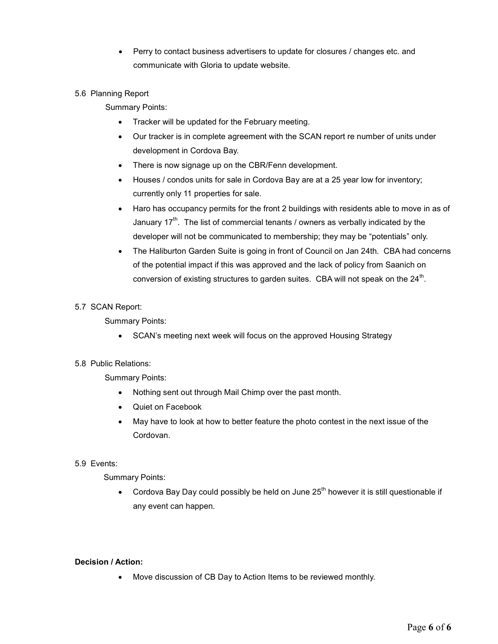Perry to contact business advertisers to update for closures / changes etc. and communicate with Gloria to update website.

# 5.6 Planning Report

Summary Points:

- Tracker will be updated for the February meeting.
- Our tracker is in complete agreement with the SCAN report re number of units under development in Cordova Bay.
- There is now signage up on the CBR/Fenn development.
- Houses / condos units for sale in Cordova Bay are at a 25 year low for inventory; currently only 11 properties for sale.
- Haro has occupancy permits for the front 2 buildings with residents able to move in as of January  $17^{th}$ . The list of commercial tenants / owners as verbally indicated by the developer will not be communicated to membership; they may be "potentials" only.
- The Haliburton Garden Suite is going in front of Council on Jan 24th. CBA had concerns of the potential impact if this was approved and the lack of policy from Saanich on conversion of existing structures to garden suites.  $\,$  CBA will not speak on the 24 $^{\rm th}$ .

### 5.7 SCAN Report:

Summary Points:

• SCAN's meeting next week will focus on the approved Housing Strategy

### 5.8 Public Relations:

Summary Points:

- Nothing sent out through Mail Chimp over the past month.
- Quiet on Facebook
- May have to look at how to better feature the photo contest in the next issue of the Cordovan.

### 5.9 Events:

Summary Points:

 $\bullet$  Cordova Bay Day could possibly be held on June 25<sup>th</sup> however it is still questionable if any event can happen.

### Decision / Action:

Move discussion of CB Day to Action Items to be reviewed monthly.